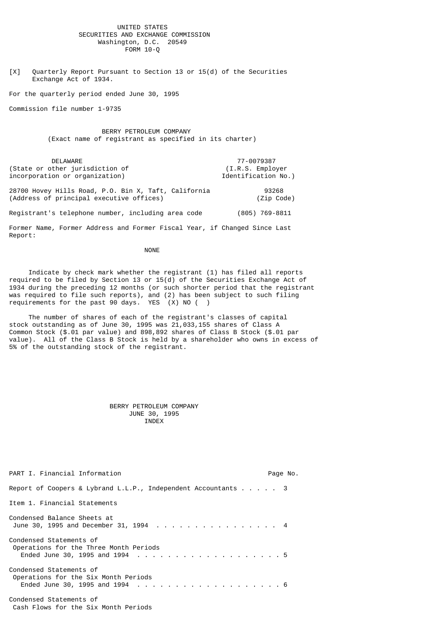## UNITED STATES SECURITIES AND EXCHANGE COMMISSION Washington, D.C. 20549 FORM 10-Q

[X] Quarterly Report Pursuant to Section 13 or 15(d) of the Securities Exchange Act of 1934.

For the quarterly period ended June 30, 1995

Commission file number 1-9735

 BERRY PETROLEUM COMPANY (Exact name of registrant as specified in its charter)

 DELAWARE 77-0079387 (State or other jurisdiction of (I.R.S. Employer incorporation or organization) Identification No.)

28700 Hovey Hills Road, P.O. Bin X, Taft, California 93268 (Address of principal executive offices)

Registrant's telephone number, including area code (805) 769-8811

Former Name, Former Address and Former Fiscal Year, if Changed Since Last Report:

## NONE **NONE**

 Indicate by check mark whether the registrant (1) has filed all reports required to be filed by Section 13 or 15(d) of the Securities Exchange Act of 1934 during the preceding 12 months (or such shorter period that the registrant was required to file such reports), and (2) has been subject to such filing requirements for the past 90 days. YES (X) NO (

 The number of shares of each of the registrant's classes of capital stock outstanding as of June 30, 1995 was 21,033,155 shares of Class A Common Stock (\$.01 par value) and 898,892 shares of Class B Stock (\$.01 par value). All of the Class B Stock is held by a shareholder who owns in excess of 5% of the outstanding stock of the registrant.

#### BERRY PETROLEUM COMPANY JUNE 30, 1995 INDEX

| PART I. Financial Information                                          | Page No. |  |
|------------------------------------------------------------------------|----------|--|
| Report of Coopers & Lybrand L.L.P., Independent Accountants $\ldots$ 3 |          |  |
| Item 1. Financial Statements                                           |          |  |
| Condensed Balance Sheets at<br>June 30, 1995 and December 31, 1994  4  |          |  |
| Condensed Statements of<br>Operations for the Three Month Periods      |          |  |
| Condensed Statements of<br>Operations for the Six Month Periods        |          |  |
| Condensed Statements of                                                |          |  |

Cash Flows for the Six Month Periods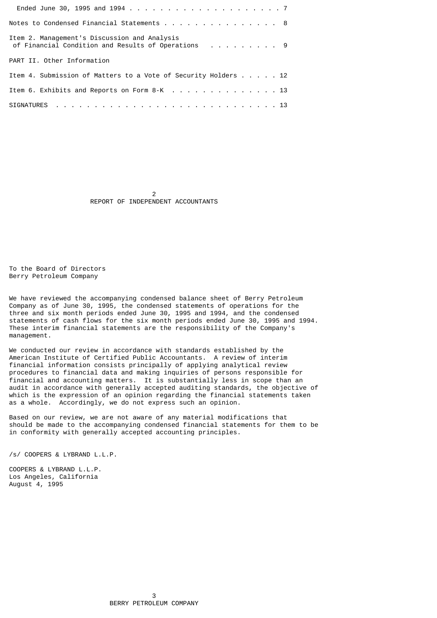| Notes to Condensed Financial Statements 8                                                          |  |
|----------------------------------------------------------------------------------------------------|--|
| Item 2. Management's Discussion and Analysis<br>of Financial Condition and Results of Operations 9 |  |
| PART II, Other Information                                                                         |  |
| Item 4. Submission of Matters to a Vote of Security Holders 12                                     |  |
| Item 6. Exhibits and Reports on Form 8-K 13                                                        |  |
|                                                                                                    |  |

 2 REPORT OF INDEPENDENT ACCOUNTANTS

To the Board of Directors Berry Petroleum Company

We have reviewed the accompanying condensed balance sheet of Berry Petroleum Company as of June 30, 1995, the condensed statements of operations for the three and six month periods ended June 30, 1995 and 1994, and the condensed statements of cash flows for the six month periods ended June 30, 1995 and 1994. These interim financial statements are the responsibility of the Company's management.

We conducted our review in accordance with standards established by the American Institute of Certified Public Accountants. A review of interim financial information consists principally of applying analytical review procedures to financial data and making inquiries of persons responsible for financial and accounting matters. It is substantially less in scope than an audit in accordance with generally accepted auditing standards, the objective of which is the expression of an opinion regarding the financial statements taken as a whole. Accordingly, we do not express such an opinion.

Based on our review, we are not aware of any material modifications that should be made to the accompanying condensed financial statements for them to be in conformity with generally accepted accounting principles.

/s/ COOPERS & LYBRAND L.L.P.

COOPERS & LYBRAND L.L.P. Los Angeles, California August 4, 1995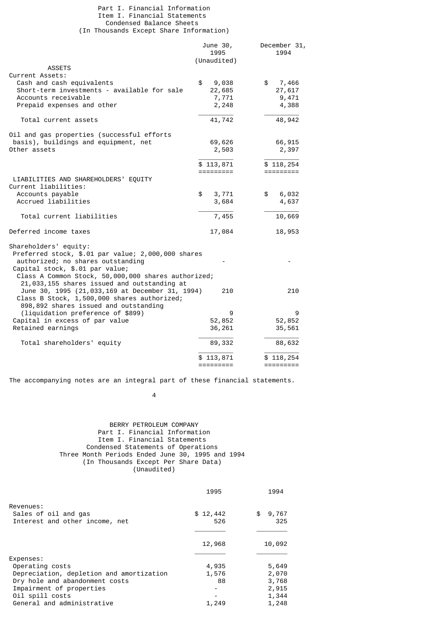#### Part I. Financial Information Item I. Financial Statements Condensed Balance Sheets (In Thousands Except Share Information)

|                                                                     | June 30,<br>1995<br>(Unaudited) | December 31,<br>1994 |
|---------------------------------------------------------------------|---------------------------------|----------------------|
| <b>ASSETS</b>                                                       |                                 |                      |
| Current Assets:                                                     |                                 |                      |
| Cash and cash equivalents                                           | \$<br>9,038                     | 7,466<br>\$          |
| Short-term investments - available for sale                         | 22,685                          | 27,617               |
| Accounts receivable                                                 | 7,771                           | 9,471                |
| Prepaid expenses and other                                          | 2,248                           | 4,388                |
| Total current assets                                                | 41,742                          | 48,942               |
| Oil and gas properties (successful efforts                          |                                 |                      |
| basis), buildings and equipment, net                                | 69,626                          | 66,915               |
| Other assets                                                        | 2,503                           | 2,397                |
|                                                                     | \$113,871                       | \$118,254            |
|                                                                     | =========                       |                      |
| LIABILITIES AND SHAREHOLDERS' EQUITY                                |                                 |                      |
| Current liabilities:                                                |                                 |                      |
| Accounts payable                                                    | \$<br>3,771                     | 6,032<br>\$          |
| Accrued liabilities                                                 | 3,684                           | 4,637                |
| Total current liabilities                                           | 7,455                           | 10,669               |
| Deferred income taxes                                               | 17,084                          | 18,953               |
| Shareholders' equity:                                               |                                 |                      |
| Preferred stock, \$.01 par value; 2,000,000 shares                  |                                 |                      |
| authorized; no shares outstanding                                   |                                 |                      |
| Capital stock, \$.01 par value;                                     |                                 |                      |
| Class A Common Stock, 50,000,000 shares authorized;                 |                                 |                      |
| 21,033,155 shares issued and outstanding at                         |                                 |                      |
| June 30, 1995 (21,033,169 at December 31, 1994)                     | 210                             | 210                  |
| Class B Stock, 1,500,000 shares authorized;                         |                                 |                      |
| 898,892 shares issued and outstanding                               | 9                               | 9                    |
| (liquidation preference of \$899)<br>Capital in excess of par value | 52,852                          | 52,852               |
| Retained earnings                                                   | 36,261                          | 35,561               |
|                                                                     |                                 |                      |
| Total shareholders' equity                                          | 89,332                          | 88,632               |
|                                                                     | \$113,871                       | \$118,254            |
|                                                                     | =========                       | =========            |

The accompanying notes are an integral part of these financial statements.

4

## BERRY PETROLEUM COMPANY Part I. Financial Information Item I. Financial Statements Condensed Statements of Operations Three Month Periods Ended June 30, 1995 and 1994 (In Thousands Except Per Share Data) (Unaudited)

|                                          | 1995     | 1994        |
|------------------------------------------|----------|-------------|
| Revenues:                                |          |             |
| Sales of oil and gas                     | \$12,442 | \$<br>9,767 |
| Interest and other income, net           | 526      | 325         |
|                                          |          |             |
|                                          | 12,968   | 10,092      |
| Expenses:                                |          |             |
| Operating costs                          | 4,935    | 5,649       |
| Depreciation, depletion and amortization | 1,576    | 2,070       |
| Dry hole and abandonment costs           | 88       | 3,768       |
| Impairment of properties                 |          | 2,915       |
| Oil spill costs                          |          | 1,344       |
| General and administrative               | 1,249    | 1,248       |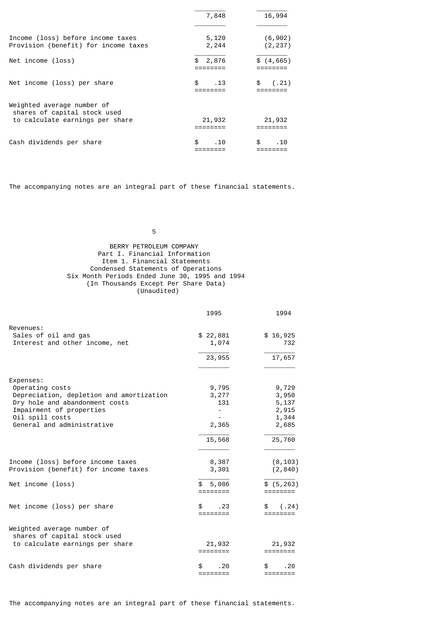|                                                                                               | 7,848          | 16,994               |
|-----------------------------------------------------------------------------------------------|----------------|----------------------|
| Income (loss) before income taxes<br>Provision (benefit) for income taxes                     | 5,120<br>2,244 | (6, 902)<br>(2, 237) |
| Net income (loss)                                                                             | \$<br>2,876    | \$(4, 665)           |
| Net income (loss) per share                                                                   | \$.<br>.13     | \$<br>(.21)          |
| Weighted average number of<br>shares of capital stock used<br>to calculate earnings per share | 21,932         | 21,932               |
| Cash dividends per share                                                                      | \$.<br>.10     | \$.<br>. 10          |

The accompanying notes are an integral part of these financial statements.

 $\sim$  5  $\sim$  5  $\sim$  5  $\sim$  5  $\sim$  5  $\sim$  5  $\sim$  5  $\sim$  5  $\sim$  5  $\sim$  5  $\sim$  5  $\sim$  5  $\sim$  5  $\sim$  5  $\sim$  5  $\sim$  5  $\sim$  5  $\sim$  5  $\sim$  5  $\sim$  5  $\sim$  5  $\sim$  5  $\sim$  5  $\sim$  5  $\sim$  5  $\sim$  5  $\sim$  5  $\sim$  5  $\sim$  5  $\sim$  5  $\sim$  5  $\sim$ 

# BERRY PETROLEUM COMPANY Part I. Financial Information Item 1. Financial Statements Condensed Statements of Operations Six Month Periods Ended June 30, 1995 and 1994 (In Thousands Except Per Share Data) (Unaudited)

|                                                                           | 1995                                      | 1994                    |
|---------------------------------------------------------------------------|-------------------------------------------|-------------------------|
| Revenues:<br>Sales of oil and gas<br>Interest and other income, net       | \$22,881<br>1,074                         | \$16,925<br>732         |
|                                                                           | 23,955                                    | 17,657                  |
| Expenses:                                                                 |                                           |                         |
| Operating costs                                                           | 9,795                                     | 9,729                   |
| Depreciation, depletion and amortization                                  | 3,277                                     | 3,950                   |
| Dry hole and abandonment costs                                            | 131                                       | 5,137                   |
| Impairment of properties                                                  |                                           | 2,915                   |
| Oil spill costs                                                           |                                           | 1,344                   |
| General and administrative                                                | 2,365                                     | 2,685                   |
|                                                                           | 15,568                                    | 25,760                  |
| Income (loss) before income taxes<br>Provision (benefit) for income taxes | 8,387<br>3,301                            | (8, 103)<br>(2, 840)    |
|                                                                           |                                           |                         |
| Net income (loss)                                                         | 5,086<br>========                         | \$ (5, 263)<br>======== |
| Net income (loss) per share                                               | \$.<br>. 23<br>========                   | \$<br>(.24)<br>======== |
| Weighted average number of<br>shares of capital stock used                |                                           |                         |
| to calculate earnings per share                                           | 21,932<br>========                        | 21,932<br>========      |
| Cash dividends per share                                                  | . 20<br>\$<br>$=$ $=$ $=$ $=$ $=$ $=$ $=$ | \$<br>. 20<br>========  |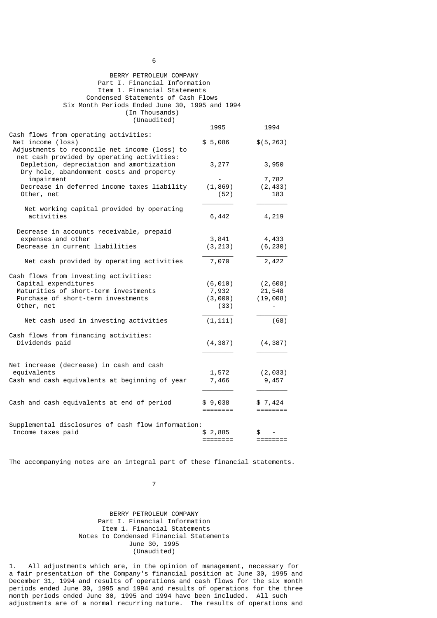| BERRY PETROLEUM COMPANY<br>Part I. Financial Information<br>Item 1. Financial Statements<br>Condensed Statements of Cash Flows<br>Six Month Periods Ended June 30, 1995 and 1994<br>(In Thousands)<br>(Unaudited) |                     |                          |
|-------------------------------------------------------------------------------------------------------------------------------------------------------------------------------------------------------------------|---------------------|--------------------------|
|                                                                                                                                                                                                                   | 1995                | 1994                     |
| Cash flows from operating activities:<br>Net income (loss)<br>Adjustments to reconcile net income (loss) to                                                                                                       | \$5,086             | \$(5, 263)               |
| net cash provided by operating activities:<br>Depletion, depreciation and amortization<br>Dry hole, abandonment costs and property                                                                                | 3,277               | 3,950                    |
| impairment<br>Decrease in deferred income taxes liability<br>Other, net                                                                                                                                           | (1, 869)<br>(52)    | 7,782<br>(2, 433)<br>183 |
| Net working capital provided by operating<br>activities                                                                                                                                                           | 6,442               | 4,219                    |
| Decrease in accounts receivable, prepaid                                                                                                                                                                          |                     |                          |
| expenses and other<br>Decrease in current liabilities                                                                                                                                                             | 3,841<br>(3, 213)   | 4,433<br>(6, 230)        |
| Net cash provided by operating activities                                                                                                                                                                         | 7,070               | 2,422                    |
| Cash flows from investing activities:                                                                                                                                                                             |                     |                          |
| Capital expenditures                                                                                                                                                                                              | (6, 010)            | (2,608)                  |
| Maturities of short-term investments                                                                                                                                                                              | 7,932               | 21,548                   |
| Purchase of short-term investments                                                                                                                                                                                | (3,000)             | (19,008)                 |
| Other, net                                                                                                                                                                                                        | (33)                |                          |
| Net cash used in investing activities                                                                                                                                                                             | (1, 111)            | (68)                     |
| Cash flows from financing activities:                                                                                                                                                                             |                     |                          |
| Dividends paid                                                                                                                                                                                                    | (4, 387)            | (4, 387)                 |
|                                                                                                                                                                                                                   |                     |                          |
| Net increase (decrease) in cash and cash                                                                                                                                                                          |                     |                          |
| equivalents                                                                                                                                                                                                       | 1,572               | (2,033)                  |
| Cash and cash equivalents at beginning of year                                                                                                                                                                    | 7,466               | 9,457                    |
| Cash and cash equivalents at end of period                                                                                                                                                                        | \$9,038<br>======== | \$7,424<br>========      |
| Supplemental disclosures of cash flow information:<br>Income taxes paid                                                                                                                                           | \$2,885             |                          |
|                                                                                                                                                                                                                   | ========            | ========                 |

The accompanying notes are an integral part of these financial statements.

7

# BERRY PETROLEUM COMPANY Part I. Financial Information Item 1. Financial Statements Notes to Condensed Financial Statements June 30, 1995 (Unaudited)

1. All adjustments which are, in the opinion of management, necessary for a fair presentation of the Company's financial position at June 30, 1995 and December 31, 1994 and results of operations and cash flows for the six month periods ended June 30, 1995 and 1994 and results of operations for the three month periods ended June 30, 1995 and 1994 have been included. All such adjustments are of a normal recurring nature. The results of operations and

 $\sim$  6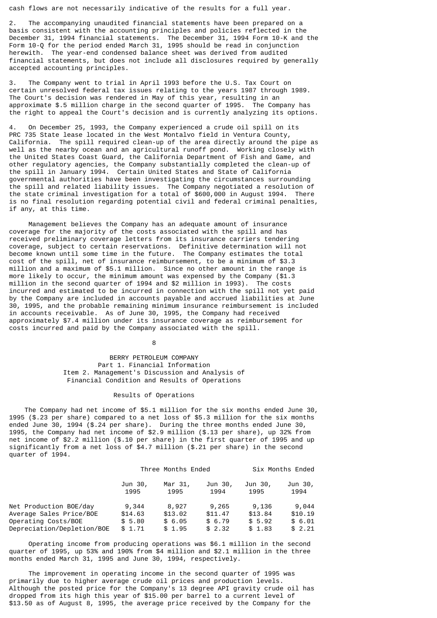cash flows are not necessarily indicative of the results for a full year.

2. The accompanying unaudited financial statements have been prepared on a basis consistent with the accounting principles and policies reflected in the December 31, 1994 financial statements. The December 31, 1994 Form 10-K and the Form 10-Q for the period ended March 31, 1995 should be read in conjunction herewith. The year-end condensed balance sheet was derived from audited financial statements, but does not include all disclosures required by generally accepted accounting principles.

The Company went to trial in April 1993 before the U.S. Tax Court on certain unresolved federal tax issues relating to the years 1987 through 1989. The Court's decision was rendered in May of this year, resulting in an approximate \$.5 million charge in the second quarter of 1995. The Company has the right to appeal the Court's decision and is currently analyzing its options.

4. On December 25, 1993, the Company experienced a crude oil spill on its PRC 735 State lease located in the West Montalvo field in Ventura County, California. The spill required clean-up of the area directly around the pipe as well as the nearby ocean and an agricultural runoff pond. Working closely with the United States Coast Guard, the California Department of Fish and Game, and other regulatory agencies, the Company substantially completed the clean-up of the spill in January 1994. Certain United States and State of California governmental authorities have been investigating the circumstances surrounding the spill and related liability issues. The Company negotiated a resolution of the state criminal investigation for a total of \$600,000 in August 1994. There is no final resolution regarding potential civil and federal criminal penalties, if any, at this time.

 Management believes the Company has an adequate amount of insurance coverage for the majority of the costs associated with the spill and has received preliminary coverage letters from its insurance carriers tendering coverage, subject to certain reservations. Definitive determination will not become known until some time in the future. The Company estimates the total cost of the spill, net of insurance reimbursement, to be a minimum of \$3.3 million and a maximum of \$5.1 million. Since no other amount in the range is more likely to occur, the minimum amount was expensed by the Company (\$1.3 million in the second quarter of 1994 and \$2 million in 1993). The costs incurred and estimated to be incurred in connection with the spill not yet paid by the Company are included in accounts payable and accrued liabilities at June 30, 1995, and the probable remaining minimum insurance reimbursement is included in accounts receivable. As of June 30, 1995, the Company had received approximately \$7.4 million under its insurance coverage as reimbursement for costs incurred and paid by the Company associated with the spill.

en andere de la provincia de la provincia de la provincia de la provincia de la provincia de la provincia del<br>En 1888, en 1888, en 1888, en 1888, en 1888, en 1888, en 1888, en 1888, en 1888, en 1888, en 1888, en 1888, en

 BERRY PETROLEUM COMPANY Part 1. Financial Information Item 2. Management's Discussion and Analysis of Financial Condition and Results of Operations

#### Results of Operations

 The Company had net income of \$5.1 million for the six months ended June 30, 1995 (\$.23 per share) compared to a net loss of \$5.3 million for the six months ended June 30, 1994 (\$.24 per share). During the three months ended June 30, 1995, the Company had net income of \$2.9 million (\$.13 per share), up 32% from net income of \$2.2 million (\$.10 per share) in the first quarter of 1995 and up significantly from a net loss of \$4.7 million (\$.21 per share) in the second quarter of 1994.

|                            | Three Months Ended |                 | Six Months Ended |                 |                 |
|----------------------------|--------------------|-----------------|------------------|-----------------|-----------------|
|                            | Jun 30,<br>1995    | Mar 31,<br>1995 | Jun 30,<br>1994  | Jun 30,<br>1995 | Jun 30,<br>1994 |
| Net Production BOE/day     | 9,344              | 8,927           | 9,265            | 9,136           | 9,044           |
| Average Sales Price/BOE    | \$14.63            | \$13.02         | \$11.47          | \$13.84         | \$10.19         |
| Operating Costs/BOE        | \$5.80             | \$6.05          | \$6.79           | \$5.92          | \$6.01          |
| Depreciation/Depletion/BOE | \$1.71             | \$1.95          | \$2.32           | \$1.83          | \$2.21          |

 Operating income from producing operations was \$6.1 million in the second quarter of 1995, up 53% and 190% from \$4 million and \$2.1 million in the three months ended March 31, 1995 and June 30, 1994, respectively.

 The improvement in operating income in the second quarter of 1995 was primarily due to higher average crude oil prices and production levels. Although the posted price for the Company's 13 degree API gravity crude oil has dropped from its high this year of \$15.00 per barrel to a current level of \$13.50 as of August 8, 1995, the average price received by the Company for the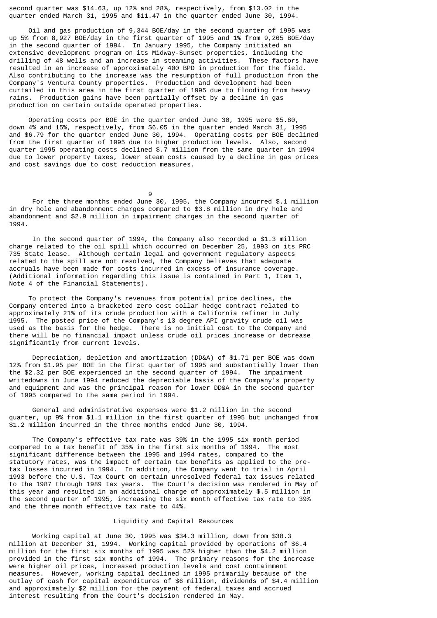second quarter was \$14.63, up 12% and 28%, respectively, from \$13.02 in the quarter ended March 31, 1995 and \$11.47 in the quarter ended June 30, 1994.

 Oil and gas production of 9,344 BOE/day in the second quarter of 1995 was up 5% from 8,927 BOE/day in the first quarter of 1995 and 1% from 9,265 BOE/day in the second quarter of 1994. In January 1995, the Company initiated an extensive development program on its Midway-Sunset properties, including the drilling of 48 wells and an increase in steaming activities. These factors have resulted in an increase of approximately 400 BPD in production for the field. Also contributing to the increase was the resumption of full production from the Company's Ventura County properties. Production and development had been curtailed in this area in the first quarter of 1995 due to flooding from heavy rains. Production gains have been partially offset by a decline in gas production on certain outside operated properties.

 Operating costs per BOE in the quarter ended June 30, 1995 were \$5.80, down 4% and 15%, respectively, from \$6.05 in the quarter ended March 31, 1995 and \$6.79 for the quarter ended June 30, 1994. Operating costs per BOE declined from the first quarter of 1995 due to higher production levels. Also, second quarter 1995 operating costs declined \$.7 million from the same quarter in 1994 due to lower property taxes, lower steam costs caused by a decline in gas prices and cost savings due to cost reduction measures.

9

 For the three months ended June 30, 1995, the Company incurred \$.1 million in dry hole and abandonment charges compared to \$3.8 million in dry hole and abandonment and \$2.9 million in impairment charges in the second quarter of 1994.

 In the second quarter of 1994, the Company also recorded a \$1.3 million charge related to the oil spill which occurred on December 25, 1993 on its PRC 735 State lease. Although certain legal and government regulatory aspects related to the spill are not resolved, the Company believes that adequate accruals have been made for costs incurred in excess of insurance coverage. (Additional information regarding this issue is contained in Part 1, Item 1, Note 4 of the Financial Statements).

 To protect the Company's revenues from potential price declines, the Company entered into a bracketed zero cost collar hedge contract related to approximately 21% of its crude production with a California refiner in July 1995. The posted price of the Company's 13 degree API gravity crude oil was used as the basis for the hedge. There is no initial cost to the Company and there will be no financial impact unless crude oil prices increase or decrease significantly from current levels.

 Depreciation, depletion and amortization (DD&A) of \$1.71 per BOE was down 12% from \$1.95 per BOE in the first quarter of 1995 and substantially lower than the \$2.32 per BOE experienced in the second quarter of 1994. The impairment writedowns in June 1994 reduced the depreciable basis of the Company's property and equipment and was the principal reason for lower DD&A in the second quarter of 1995 compared to the same period in 1994.

 General and administrative expenses were \$1.2 million in the second quarter, up 9% from \$1.1 million in the first quarter of 1995 but unchanged from \$1.2 million incurred in the three months ended June 30, 1994.

 The Company's effective tax rate was 39% in the 1995 six month period compared to a tax benefit of 35% in the first six months of 1994. The most significant difference between the 1995 and 1994 rates, compared to the statutory rates, was the impact of certain tax benefits as applied to the pretax losses incurred in 1994. In addition, the Company went to trial in April 1993 before the U.S. Tax Court on certain unresolved federal tax issues related to the 1987 through 1989 tax years. The Court's decision was rendered in May of this year and resulted in an additional charge of approximately \$.5 million in the second quarter of 1995, increasing the six month effective tax rate to 39% and the three month effective tax rate to 44%.

#### Liquidity and Capital Resources

 Working capital at June 30, 1995 was \$34.3 million, down from \$38.3 million at December 31, 1994. Working capital provided by operations of \$6.4 million for the first six months of 1995 was 52% higher than the \$4.2 million provided in the first six months of 1994. The primary reasons for the increase were higher oil prices, increased production levels and cost containment measures. However, working capital declined in 1995 primarily because of the outlay of cash for capital expenditures of \$6 million, dividends of \$4.4 million and approximately \$2 million for the payment of federal taxes and accrued interest resulting from the Court's decision rendered in May.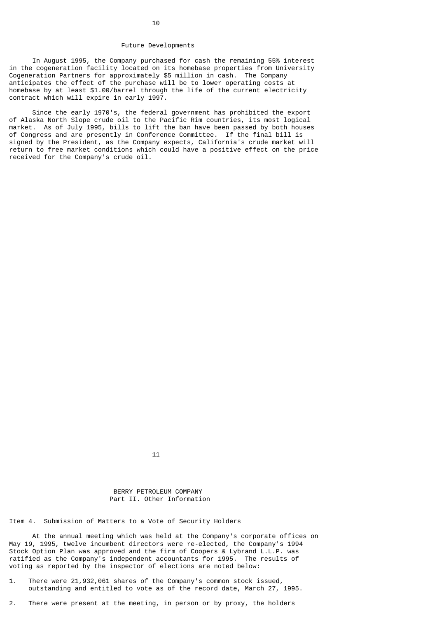#### Future Developments

 In August 1995, the Company purchased for cash the remaining 55% interest in the cogeneration facility located on its homebase properties from University Cogeneration Partners for approximately \$5 million in cash. The Company anticipates the effect of the purchase will be to lower operating costs at homebase by at least \$1.00/barrel through the life of the current electricity contract which will expire in early 1997.

 Since the early 1970's, the federal government has prohibited the export of Alaska North Slope crude oil to the Pacific Rim countries, its most logical market. As of July 1995, bills to lift the ban have been passed by both houses of Congress and are presently in Conference Committee. If the final bill is signed by the President, as the Company expects, California's crude market will return to free market conditions which could have a positive effect on the price received for the Company's crude oil.

 $11$ 

# BERRY PETROLEUM COMPANY Part II. Other Information

Item 4. Submission of Matters to a Vote of Security Holders

 At the annual meeting which was held at the Company's corporate offices on May 19, 1995, twelve incumbent directors were re-elected, the Company's 1994 Stock Option Plan was approved and the firm of Coopers & Lybrand L.L.P. was ratified as the Company's independent accountants for 1995. The results of voting as reported by the inspector of elections are noted below:

- 1. There were 21,932,061 shares of the Company's common stock issued, outstanding and entitled to vote as of the record date, March 27, 1995.
- 2. There were present at the meeting, in person or by proxy, the holders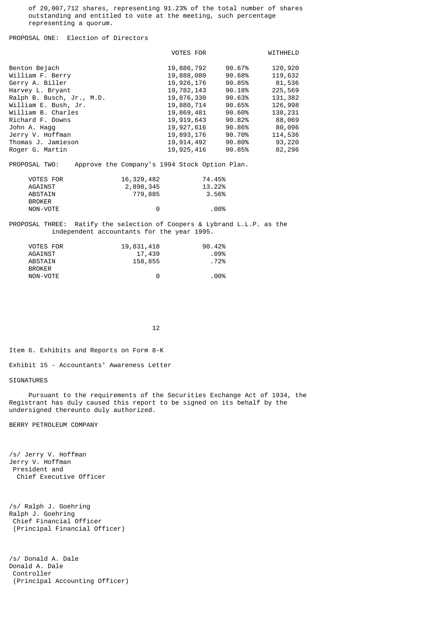of 20,007,712 shares, representing 91.23% of the total number of shares outstanding and entitled to vote at the meeting, such percentage representing a quorum.

PROPOSAL ONE: Election of Directors

|                                                                                                                                                                                                                                   |                                                         | VOTES FOR                                                                                                                                              |                                                                                                            | WITHHELD                                                                                                          |
|-----------------------------------------------------------------------------------------------------------------------------------------------------------------------------------------------------------------------------------|---------------------------------------------------------|--------------------------------------------------------------------------------------------------------------------------------------------------------|------------------------------------------------------------------------------------------------------------|-------------------------------------------------------------------------------------------------------------------|
| Benton Bejach<br>William F. Berry<br>Gerry A. Biller<br>Harvey L. Bryant<br>Ralph B. Busch, Jr., M.D.<br>William E. Bush, Jr.<br>William B. Charles<br>Richard F. Downs<br>John A. Hagg<br>Jerry V. Hoffman<br>Thomas J. Jamieson |                                                         | 19,886,792<br>19,888,080<br>19,926,176<br>19,782,143<br>19,876,330<br>19,880,714<br>19,869,481<br>19,919,643<br>19,927,616<br>19,893,176<br>19,914,492 | 90.67%<br>90.68%<br>90.85%<br>90.18%<br>90.63%<br>90.65%<br>90.60%<br>90.82%<br>90.86%<br>90.70%<br>90.80% | 120,920<br>119,632<br>81,536<br>225,569<br>131,382<br>126,998<br>138,231<br>88,069<br>80,096<br>114,536<br>93,220 |
| Roger G. Martin                                                                                                                                                                                                                   |                                                         | 19,925,416                                                                                                                                             | 90.85%                                                                                                     | 82,296                                                                                                            |
| PROPOSAL TWO:                                                                                                                                                                                                                     | Approve the Company's 1994 Stock Option Plan.           |                                                                                                                                                        |                                                                                                            |                                                                                                                   |
| VOTES FOR<br>AGAINST<br><b>ABSTAIN</b><br><b>BROKER</b><br>NON-VOTE                                                                                                                                                               | 16,329,482<br>2,898,345<br>779,885<br>0                 | 74.45%<br>13.22%<br>3.56%<br>.00%                                                                                                                      |                                                                                                            |                                                                                                                   |
| PROPOSAL THREE:<br>independent accountants for the year 1995.                                                                                                                                                                     | Ratify the selection of Coopers & Lybrand L.L.P. as the |                                                                                                                                                        |                                                                                                            |                                                                                                                   |

| VOTES FOR     | 19,831,418 | 90.42% |
|---------------|------------|--------|
| AGAINST       | 17,439     | . 09%  |
| ABSTAIN       | 158,855    | . 72%  |
| <b>BROKER</b> |            |        |
| NON-VOTE      | $\Theta$   | .00%   |

 $12$ 

Item 6. Exhibits and Reports on Form 8-K

Exhibit 15 - Accountants' Awareness Letter

SIGNATURES

 Pursuant to the requirements of the Securities Exchange Act of 1934, the Registrant has duly caused this report to be signed on its behalf by the undersigned thereunto duly authorized.

BERRY PETROLEUM COMPANY

/s/ Jerry V. Hoffman Jerry V. Hoffman President and Chief Executive Officer

/s/ Ralph J. Goehring Ralph J. Goehring Chief Financial Officer (Principal Financial Officer)

/s/ Donald A. Dale Donald A. Dale Controller (Principal Accounting Officer)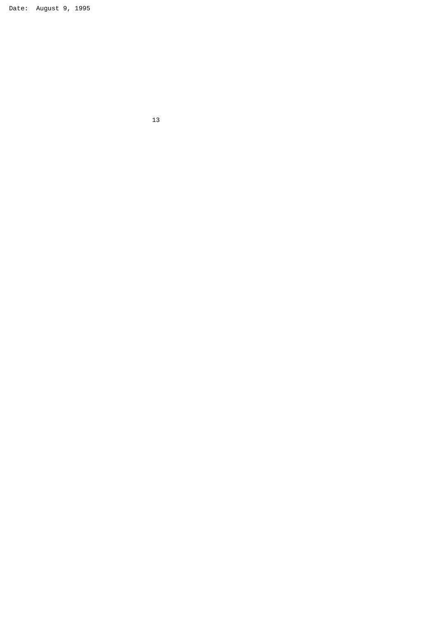Date: August 9, 1995

 $13$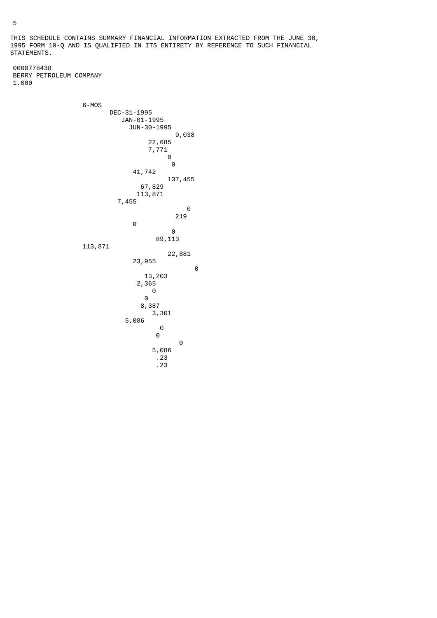THIS SCHEDULE CONTAINS SUMMARY FINANCIAL INFORMATION EXTRACTED FROM THE JUNE 30, 1995 FORM 10-Q AND IS QUALIFIED IN ITS ENTIRETY BY REFERENCE TO SUCH FINANCIAL STATEMENTS.

 0000778438 BERRY PETROLEUM COMPANY 1,000

 6-MOS DEC-31-1995 JAN-01-1995 JUN-30-1995 9,038 22,685 7,771 0 0 41,742 137,455 67,829 113,871 7,455 0 219 0 0 89,113 113,871 22,881 23,955 0 13,203 2,365 0 0 8,387 3,301 5,086 0 0 0 5,086 .23 .23